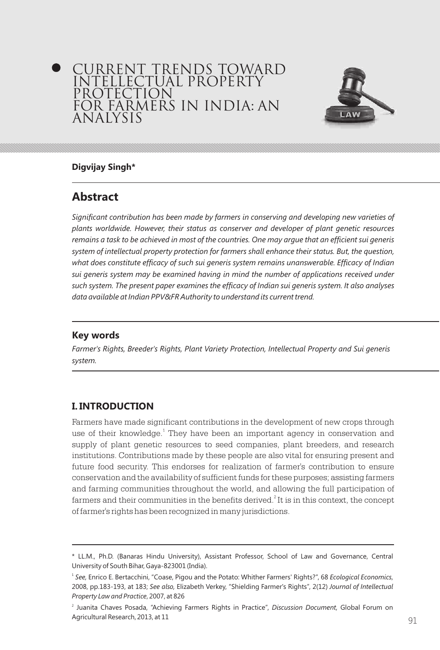# CURRENT TRENDS TOWARD INTELLECTUAL PROPERTY PROTECTION FOR FARMERS IN INDIA: AN ANALYSIS



### **Digvijay Singh\***

# **Abstract**

*Significant contribution has been made by farmers in conserving and developing new varieties of plants worldwide. However, their status as conserver and developer of plant genetic resources remains a task to be achieved in most of the countries. One may argue that an efficient sui generis system of intellectual property protection for farmers shall enhance their status. But, the question, what does constitute efficacy of such sui generis system remains unanswerable. Efficacy of Indian sui generis system may be examined having in mind the number of applications received under such system. The present paper examines the efficacy of Indian sui generis system. It also analyses data available at Indian PPV&FR Authority to understand its current trend.*

### **Key words**

*Farmer's Rights, Breeder's Rights, Plant Variety Protection, Intellectual Property and Sui generis system.*

## **I. INTRODUCTION**

Farmers have made significant contributions in the development of new crops through use of their knowledge.<sup>1</sup> They have been an important agency in conservation and supply of plant genetic resources to seed companies, plant breeders, and research institutions. Contributions made by these people are also vital for ensuring present and future food security. This endorses for realization of farmer's contribution to ensure conservation and the availability of sufficient funds for these purposes; assisting farmers and farming communities throughout the world, and allowing the full participation of farmers and their communities in the benefits derived. $^{2}$  It is in this context, the concept of farmer's rights has been recognized in many jurisdictions.

<sup>\*</sup> LL.M., Ph.D. (Banaras Hindu University), Assistant Professor, School of Law and Governance, Central University of South Bihar, Gaya-823001 (India).

<sup>1</sup> *See,* Enrico E. Bertacchini, "Coase, Pigou and the Potato: Whither Farmers' Rights?", 68 *Ecological Economics*, 2008, pp.183-193, at 183; *See also,* Elizabeth Verkey, "Shielding Farmer's Rights", 2(12) *Journal of Intellectual Property Law and Practice*, 2007, at 826

<sup>2</sup> Juanita Chaves Posada, "Achieving Farmers Rights in Practice", *Discussion Document,* Global Forum on Agricultural Research, 2013, at 11  $\alpha$ 91  $\alpha$ 1  $\beta$ 91  $\alpha$ 1  $\beta$ 91  $\beta$ 91  $\beta$ 91  $\beta$ 91  $\beta$ 91  $\beta$ 91  $\beta$ 91  $\beta$ 91  $\beta$ 91  $\beta$ 91  $\beta$ 91  $\beta$ 91  $\beta$ 91  $\beta$ 91  $\beta$ 91  $\beta$ 91  $\beta$ 91  $\beta$ 91  $\beta$ 91  $\beta$ 91  $\beta$ 91  $\beta$ 91  $\beta$ 91  $\beta$ 91  $\beta$ 91  $\beta$ 91  $\beta$ 91  $\beta$ 91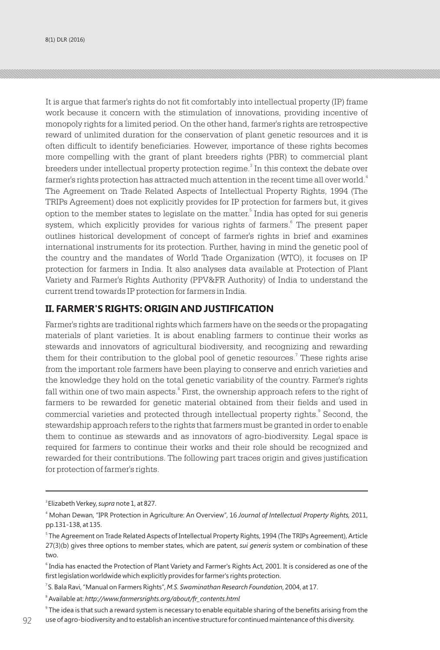It is argue that farmer's rights do not fit comfortably into intellectual property (IP) frame work because it concern with the stimulation of innovations, providing incentive of monopoly rights for a limited period. On the other hand, farmer's rights are retrospective reward of unlimited duration for the conservation of plant genetic resources and it is often difficult to identify beneficiaries. However, importance of these rights becomes more compelling with the grant of plant breeders rights (PBR) to commercial plant breeders under intellectual property protection regime. $^{\rm 3}$  In this context the debate over farmer's rights protection has attracted much attention in the recent time all over world.<sup>4</sup> The Agreement on Trade Related Aspects of Intellectual Property Rights, 1994 (The TRIPs Agreement) does not explicitly provides for IP protection for farmers but, it gives option to the member states to legislate on the matter.<sup>5</sup> India has opted for sui generis system, which explicitly provides for various rights of farmers.<sup>6</sup> The present paper outlines historical development of concept of farmer's rights in brief and examines international instruments for its protection. Further, having in mind the genetic pool of the country and the mandates of World Trade Organization (WTO), it focuses on IP protection for farmers in India. It also analyses data available at Protection of Plant Variety and Farmer's Rights Authority (PPV&FR Authority) of India to understand the current trend towards IP protection for farmers in India.

#### **II. FARMER'S RIGHTS: ORIGIN AND JUSTIFICATION**

Farmer's rights are traditional rights which farmers have on the seeds or the propagating materials of plant varieties. It is about enabling farmers to continue their works as stewards and innovators of agricultural biodiversity, and recognizing and rewarding them for their contribution to the global pool of genetic resources.<sup>7</sup> These rights arise from the important role farmers have been playing to conserve and enrich varieties and the knowledge they hold on the total genetic variability of the country. Farmer's rights fall within one of two main aspects.<sup>8</sup> First, the ownership approach refers to the right of farmers to be rewarded for genetic material obtained from their fields and used in commercial varieties and protected through intellectual property rights.<sup>8</sup> Second, the stewardship approach refers to the rights that farmers must be granted in order to enable them to continue as stewards and as innovators of agro-biodiversity. Legal space is required for farmers to continue their works and their role should be recognized and rewarded for their contributions. The following part traces origin and gives justification for protection of farmer's rights.

<sup>3</sup>Elizabeth Verkey, *supra* note 1, at 827.

<sup>4</sup> Mohan Dewan, "IPR Protection in Agriculture: An Overview", 16 *Journal of Intellectual Property Rights,* 2011, pp.131-138, at 135.

 $^{\circ}$  The Agreement on Trade Related Aspects of Intellectual Property Rights, 1994 (The TRIPs Agreement), Article 27(3)(b) gives three options to member states, which are patent, *sui generis* system or combination of these two.

 $^6$  India has enacted the Protection of Plant Variety and Farmer's Rights Act, 2001. It is considered as one of the first legislation worldwide which explicitly provides for farmer's rights protection.

<sup>7</sup>S. Bala Ravi, "Manual on Farmers Rights", *M.S. Swaminathan Research Foundation*, 2004, at 17.

<sup>8</sup> Available at: *http://www.farmersrights.org/about/fr\_contents.html*

 $^{\circ}$  The idea is that such a reward system is necessary to enable equitable sharing of the benefits arising from the  $\rm g_2-\,u$ se of agro-biodiversity and to establish an incentive structure for continued maintenance of this diversity.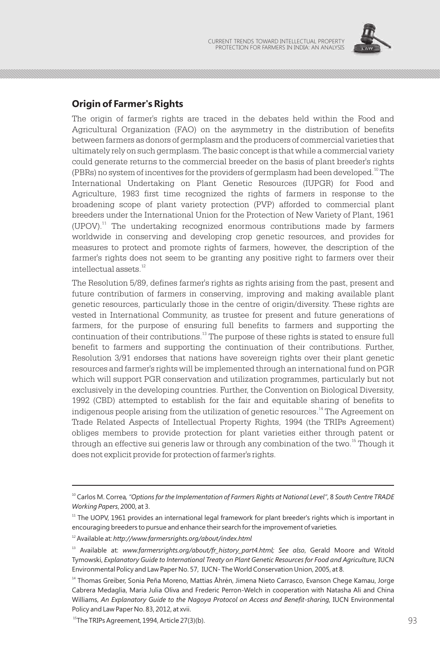

## **Origin of Farmer's Rights**

The origin of farmer's rights are traced in the debates held within the Food and Agricultural Organization (FAO) on the asymmetry in the distribution of benefits between farmers as donors of germplasm and the producers of commercial varieties that ultimately rely on such germplasm. The basic concept is that while a commercial variety could generate returns to the commercial breeder on the basis of plant breeder's rights (PBRs) no system of incentives for the providers of germplasm had been developed.<sup>10</sup> The International Undertaking on Plant Genetic Resources (IUPGR) for Food and Agriculture, 1983 first time recognized the rights of farmers in response to the broadening scope of plant variety protection (PVP) afforded to commercial plant breeders under the International Union for the Protection of New Variety of Plant, 1961  $(UPOV).$ <sup>11</sup> The undertaking recognized enormous contributions made by farmers worldwide in conserving and developing crop genetic resources, and provides for measures to protect and promote rights of farmers, however, the description of the farmer's rights does not seem to be granting any positive right to farmers over their intellectual assets.<sup>12</sup>

The Resolution 5/89, defines farmer's rights as rights arising from the past, present and future contribution of farmers in conserving, improving and making available plant genetic resources, particularly those in the centre of origin/diversity. These rights are vested in International Community, as trustee for present and future generations of farmers, for the purpose of ensuring full benefits to farmers and supporting the continuation of their contributions.<sup>13</sup> The purpose of these rights is stated to ensure full benefit to farmers and supporting the continuation of their contributions. Further, Resolution 3/91 endorses that nations have sovereign rights over their plant genetic resources and farmer's rights will be implemented through an international fund on PGR which will support PGR conservation and utilization programmes, particularly but not exclusively in the developing countries. Further, the Convention on Biological Diversity, 1992 (CBD) attempted to establish for the fair and equitable sharing of benefits to indigenous people arising from the utilization of genetic resources.<sup>14</sup> The Agreement on Trade Related Aspects of Intellectual Property Rights, 1994 (the TRIPs Agreement) obliges members to provide protection for plant varieties either through patent or through an effective sui generis law or through any combination of the two.<sup>15</sup> Though it does not explicit provide for protection of farmer's rights.

<sup>10</sup> Carlos M. Correa*, "Options for the Implementation of Farmers Rights at National Level"*, 8 *South Centre TRADE Working Papers*, 2000, at 3.

 $11$  The UOPV, 1961 provides an international legal framework for plant breeder's rights which is important in encouraging breeders to pursue and enhance their search for the improvement of varieties*.*

<sup>12</sup> Available at: *http://www.farmersrights.org/about/index.html*

<sup>13</sup> Available at: *www.farmersrights.org/about/fr\_history\_part4.html; See also*, Gerald Moore and Witold Tymowski, *Explanatory Guide to International Treaty on Plant Genetic Resources for Food and Agriculture,* IUCN Environmental Policy and Law Paper No. 57, IUCN- The World Conservation Union, 2005, at 8.

<sup>&</sup>lt;sup>14</sup> Thomas Greiber, Sonia Peña Moreno, Mattias Åhrén, Jimena Nieto Carrasco, Evanson Chege Kamau, Jorge Cabrera Medaglia, Maria Julia Oliva and Frederic Perron-Welch in cooperation with Natasha Ali and China Williams, *An Explanatory Guide to the Nagoya Protocol on Access and Benefit-sharing,* IUCN Environmental Policy and Law Paper No. 83, 2012, at xvii.

 $^{15}$ The TRIPs Agreement, 1994, Article 27(3)(b).  $93$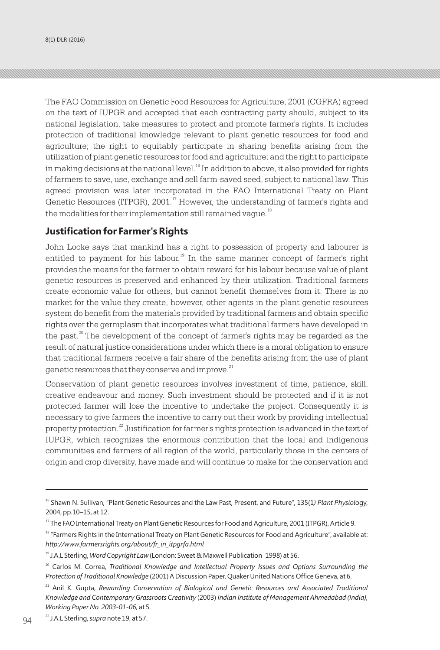The FAO Commission on Genetic Food Resources for Agriculture, 2001 (CGFRA) agreed on the text of IUPGR and accepted that each contracting party should, subject to its national legislation, take measures to protect and promote farmer's rights. It includes protection of traditional knowledge relevant to plant genetic resources for food and agriculture; the right to equitably participate in sharing benefits arising from the utilization of plant genetic resources for food and agriculture; and the right to participate in making decisions at the national level.<sup>16</sup> In addition to above, it also provided for rights of farmers to save, use, exchange and sell farm-saved seed, subject to national law. This agreed provision was later incorporated in the FAO International Treaty on Plant Genetic Resources (ITPGR), 2001.<sup>17</sup> However, the understanding of farmer's rights and the modalities for their implementation still remained vague.<sup>18</sup>

#### **Justification for Farmer's Rights**

John Locke says that mankind has a right to possession of property and labourer is entitled to payment for his labour.<sup>19</sup> In the same manner concept of farmer's right provides the means for the farmer to obtain reward for his labour because value of plant genetic resources is preserved and enhanced by their utilization. Traditional farmers create economic value for others, but cannot benefit themselves from it. There is no market for the value they create, however, other agents in the plant genetic resources system do benefit from the materials provided by traditional farmers and obtain specific rights over the germplasm that incorporates what traditional farmers have developed in the past.<sup>20</sup> The development of the concept of farmer's rights may be regarded as the result of natural justice considerations under which there is a moral obligation to ensure that traditional farmers receive a fair share of the benefits arising from the use of plant genetic resources that they conserve and improve.<sup>21</sup>

Conservation of plant genetic resources involves investment of time, patience, skill, creative endeavour and money. Such investment should be protected and if it is not protected farmer will lose the incentive to undertake the project. Consequently it is necessary to give farmers the incentive to carry out their work by providing intellectual property protection.<sup>22</sup> Justification for farmer's rights protection is advanced in the text of IUPGR, which recognizes the enormous contribution that the local and indigenous communities and farmers of all region of the world, particularly those in the centers of origin and crop diversity, have made and will continue to make for the conservation and

<sup>&</sup>lt;sup>16</sup> Shawn N. Sullivan, "Plant Genetic Resources and the Law Past, Present, and Future", 135(1) Plant Physiology, 2004, pp.10–15, at 12.

<sup>&</sup>lt;sup>17</sup> The FAO International Treaty on Plant Genetic Resources for Food and Agriculture, 2001 (ITPGR), Article 9.

<sup>&</sup>lt;sup>18</sup> "Farmers Rights in the International Treaty on Plant Genetic Resources for Food and Agriculture", available at: *http://www.farmersrights.org/about/fr\_in\_itpgrfa.html*

<sup>19</sup> J.A.L Sterling, *Word Copyright Law* (London: Sweet & Maxwell Publication 1998) at 56.

<sup>&</sup>lt;sup>20</sup> Carlos M. Correa, *Traditional Knowledge and Intellectual Property Issues and Options Surrounding the Protection of Traditional Knowledge* (2001) A Discussion Paper, Quaker United Nations Office Geneva, at 6.

<sup>&</sup>lt;sup>21</sup> Anil K. Gupta, *Rewarding Conservation of Biological and Genetic Resources and Associated Traditional Knowledge and Contemporary Grassroots Creativity* (2003) *Indian Institute of Management Ahmedabad (India), Working Paper No. 2003-01-06,* at 5.

<sup>22</sup> J.A.L Sterling, *supra* note 19, at 57. *<sup>31</sup>* 94 *Ibid*. 95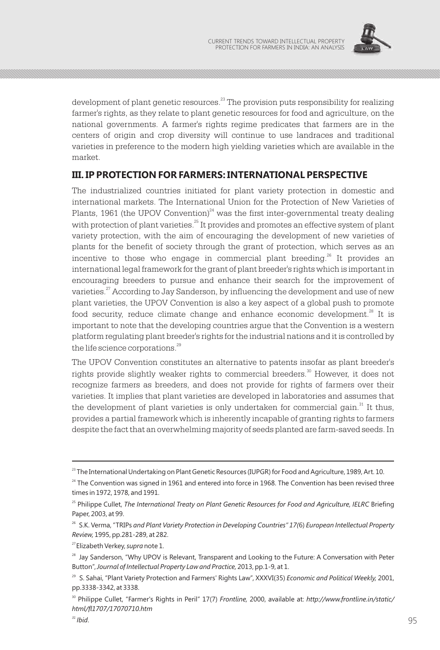

development of plant genetic resources.<sup>23</sup> The provision puts responsibility for realizing farmer's rights, as they relate to plant genetic resources for food and agriculture, on the national governments. A farmer's rights regime predicates that farmers are in the centers of origin and crop diversity will continue to use landraces and traditional varieties in preference to the modern high yielding varieties which are available in the market.

### **III. IP PROTECTION FOR FARMERS: INTERNATIONAL PERSPECTIVE**

The industrialized countries initiated for plant variety protection in domestic and international markets. The International Union for the Protection of New Varieties of Plants, 1961 (the UPOV Convention) $^{24}$  was the first inter-governmental treaty dealing with protection of plant varieties.<sup>25</sup> It provides and promotes an effective system of plant variety protection, with the aim of encouraging the development of new varieties of plants for the benefit of society through the grant of protection, which serves as an incentive to those who engage in commercial plant breeding.<sup>26</sup> It provides an international legal framework for the grant of plant breeder's rights which is important in encouraging breeders to pursue and enhance their search for the improvement of varieties.<sup>27</sup> According to Jay Sanderson, by influencing the development and use of new plant varieties, the UPOV Convention is also a key aspect of a global push to promote food security, reduce climate change and enhance economic development. $^{28}$  It is important to note that the developing countries argue that the Convention is a western platform regulating plant breeder's rights for the industrial nations and it is controlled by the life science corporations.<sup>29</sup>

The UPOV Convention constitutes an alternative to patents insofar as plant breeder's rights provide slightly weaker rights to commercial breeders.<sup>30</sup> However, it does not recognize farmers as breeders, and does not provide for rights of farmers over their varieties. It implies that plant varieties are developed in laboratories and assumes that the development of plant varieties is only undertaken for commercial gain.<sup>31</sup> It thus, provides a partial framework which is inherently incapable of granting rights to farmers despite the fact that an overwhelming majority of seeds planted are farm-saved seeds. In

<sup>&</sup>lt;sup>23</sup> The International Undertaking on Plant Genetic Resources (IUPGR) for Food and Agriculture, 1989, Art. 10.

 $24$  The Convention was signed in 1961 and entered into force in 1968. The Convention has been revised three times in 1972, 1978, and 1991.

<sup>25</sup> Philippe Cullet, *The International Treaty on Plant Genetic Resources for Food and Agriculture, IELRC* Briefing Paper, 2003, at 99.

<sup>26</sup> S.K. Verma, "TRIPs *and Plant Variety Protection in Developing Countries" 17(*6) *European Intellectual Property Review,* 1995, pp.281-289, at 282.

<sup>27</sup>Elizabeth Verkey, *supra* note 1.

<sup>&</sup>lt;sup>28</sup> Jay Sanderson, "Why UPOV is Relevant, Transparent and Looking to the Future: A Conversation with Peter Button", *Journal of Intellectual Property Law and Practice,* 2013, pp.1-9, at 1.

<sup>29</sup> S. Sahai, "Plant Variety Protection and Farmers' Rights Law", XXXVI(35) *Economic and Political Weekly,* 2001, pp.3338-3342, at 3338.

<sup>30</sup> Philippe Cullet, "Farmer's Rights in Peril" 17(7) *Frontline,* 2000, available at: *http://www.frontline.in/static/ html/fl1707/17070710.htm*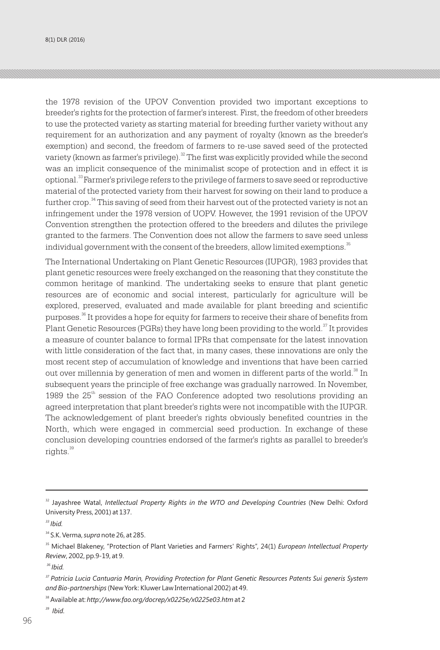the 1978 revision of the UPOV Convention provided two important exceptions to breeder's rights for the protection of farmer's interest. First, the freedom of other breeders to use the protected variety as starting material for breeding further variety without any requirement for an authorization and any payment of royalty (known as the breeder's exemption) and second, the freedom of farmers to re-use saved seed of the protected variety (known as farmer's privilege).  $^{32}$  The first was explicitly provided while the second was an implicit consequence of the minimalist scope of protection and in effect it is optional.<sup>33</sup>Farmer's privilege refers to the privilege of farmers to save seed or reproductive material of the protected variety from their harvest for sowing on their land to produce a further crop.<sup>34</sup> This saving of seed from their harvest out of the protected variety is not an infringement under the 1978 version of UOPV. However, the 1991 revision of the UPOV Convention strengthen the protection offered to the breeders and dilutes the privilege granted to the farmers. The Convention does not allow the farmers to save seed unless individual government with the consent of the breeders, allow limited exemptions.<sup>35</sup>

The International Undertaking on Plant Genetic Resources (IUPGR), 1983 provides that plant genetic resources were freely exchanged on the reasoning that they constitute the common heritage of mankind. The undertaking seeks to ensure that plant genetic resources are of economic and social interest, particularly for agriculture will be explored, preserved, evaluated and made available for plant breeding and scientific purposes.<sup>36</sup> It provides a hope for equity for farmers to receive their share of benefits from Plant Genetic Resources (PGRs) they have long been providing to the world.<sup>37</sup> It provides a measure of counter balance to formal IPRs that compensate for the latest innovation with little consideration of the fact that, in many cases, these innovations are only the most recent step of accumulation of knowledge and inventions that have been carried out over millennia by generation of men and women in different parts of the world.<sup>38</sup> In subsequent years the principle of free exchange was gradually narrowed. In November, 1989 the  $25<sup>th</sup>$  session of the FAO Conference adopted two resolutions providing an agreed interpretation that plant breeder's rights were not incompatible with the IUPGR. The acknowledgement of plant breeder's rights obviously benefited countries in the North, which were engaged in commercial seed production. In exchange of these conclusion developing countries endorsed of the farmer's rights as parallel to breeder's  $ri \sigma$ hts. $39$ 

*<sup>36</sup> Ibid.*

<sup>&</sup>lt;sup>32</sup> Jayashree Watal, *Intellectual Property Rights in the WTO and Developing Countries* (New Delhi: Oxford University Press, 2001) at 137.

*<sup>33</sup> Ibid.*

<sup>34</sup> S.K. Verma, *supra* note 26, at 285.

<sup>35</sup> Michael Blakeney, "Protection of Plant Varieties and Farmers' Rights", 24(1) *European Intellectual Property Review*, 2002, pp.9-19, at 9.

*<sup>37</sup>Patricia Lucia Cantuaria Marin, Providing Protection for Plant Genetic Resources Patents Sui generis System and Bio-partnerships*(New York: Kluwer Law International 2002) at 49.

<sup>38</sup> Available at: *http://www.fao.org/docrep/x0225e/x0225e03.htm* at 2

*<sup>39</sup> Ibid.*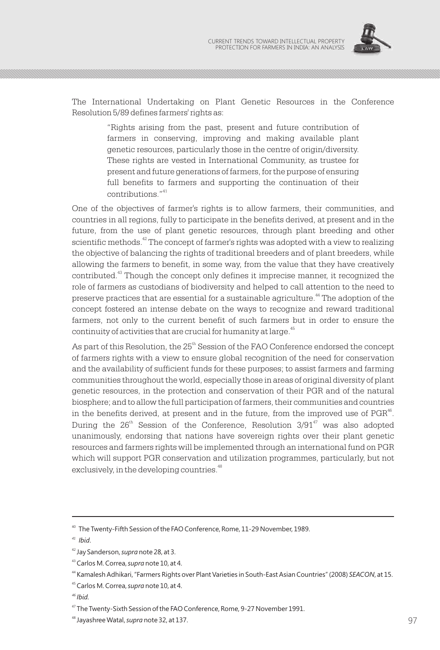

The International Undertaking on Plant Genetic Resources in the Conference Resolution 5/89 defines farmers' rights as:

> "Rights arising from the past, present and future contribution of farmers in conserving, improving and making available plant genetic resources, particularly those in the centre of origin/diversity. These rights are vested in International Community, as trustee for present and future generations of farmers, for the purpose of ensuring full benefits to farmers and supporting the continuation of their contributions<sup>"41</sup>

One of the objectives of farmer's rights is to allow farmers, their communities, and countries in all regions, fully to participate in the benefits derived, at present and in the future, from the use of plant genetic resources, through plant breeding and other scientific methods.<sup>42</sup> The concept of farmer's rights was adopted with a view to realizing the objective of balancing the rights of traditional breeders and of plant breeders, while allowing the farmers to benefit, in some way, from the value that they have creatively contributed.<sup>43</sup> Though the concept only defines it imprecise manner, it recognized the role of farmers as custodians of biodiversity and helped to call attention to the need to preserve practices that are essential for a sustainable agriculture.<sup>44</sup> The adoption of the concept fostered an intense debate on the ways to recognize and reward traditional farmers, not only to the current benefit of such farmers but in order to ensure the continuity of activities that are crucial for humanity at large.<sup>45</sup>

As part of this Resolution, the  $25<sup>th</sup>$  Session of the FAO Conference endorsed the concept of farmers rights with a view to ensure global recognition of the need for conservation and the availability of sufficient funds for these purposes; to assist farmers and farming communities throughout the world, especially those in areas of original diversity of plant genetic resources, in the protection and conservation of their PGR and of the natural biosphere; and to allow the full participation of farmers, their communities and countries in the benefits derived, at present and in the future, from the improved use of  $PGR<sup>46</sup>$ . During the  $26<sup>th</sup>$  Session of the Conference, Resolution  $3/91<sup>47</sup>$  was also adopted unanimously, endorsing that nations have sovereign rights over their plant genetic resources and farmers rights will be implemented through an international fund on PGR which will support PGR conservation and utilization programmes, particularly, but not exclusively, in the developing countries.<sup>48</sup>

<sup>40</sup> The Twenty-Fifth Session of the FAO Conference, Rome, 11-29 November, 1989.

*<sup>41</sup> Ibid*.

<sup>42</sup> Jay Sanderson, *supra* note 28, at 3.

<sup>43</sup> Carlos M. Correa, *supra* note 10, at 4.

<sup>44</sup> Kamalesh Adhikari, "Farmers Rights over Plant Varieties in South-East Asian Countries" (2008) *SEACON*, at 15.

<sup>45</sup> Carlos M. Correa, *supra* note 10, at 4.

*<sup>46</sup> Ibid.*

<sup>&</sup>lt;sup>47</sup> The Twenty-Sixth Session of the FAO Conference, Rome, 9-27 November 1991.

<sup>&</sup>lt;sup>48</sup> Jayashree Watal, *supra* note 32, at 137. **97** And the support of the support of the support of the support of the support of the support of the support of the support of the support of the support of the support of t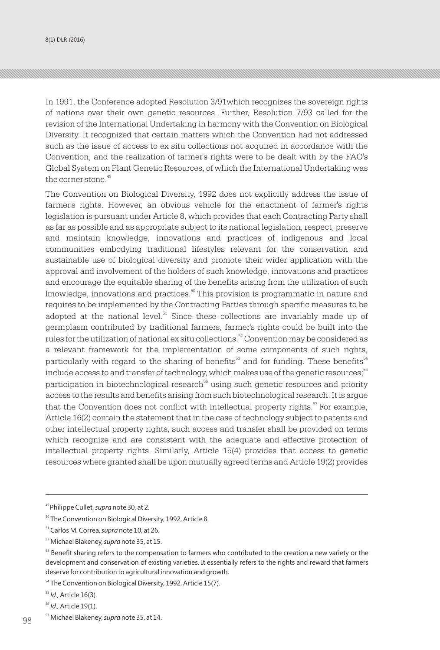$8(1)$  DLR (2016) CURRENT TRENDS TOWARD INTELLECTUAL PROPERTY  $C$ 

In 1991, the Conference adopted Resolution 3/91which recognizes the sovereign rights of nations over their own genetic resources. Further, Resolution 7/93 called for the revision of the International Undertaking in harmony with the Convention on Biological Diversity. It recognized that certain matters which the Convention had not addressed such as the issue of access to ex situ collections not acquired in accordance with the Convention, and the realization of farmer's rights were to be dealt with by the FAO's Global System on Plant Genetic Resources, of which the International Undertaking was the corner stone.<sup>49</sup>

The Convention on Biological Diversity, 1992 does not explicitly address the issue of farmer's rights. However, an obvious vehicle for the enactment of farmer's rights legislation is pursuant under Article 8, which provides that each Contracting Party shall as far as possible and as appropriate subject to its national legislation, respect, preserve and maintain knowledge, innovations and practices of indigenous and local communities embodying traditional lifestyles relevant for the conservation and sustainable use of biological diversity and promote their wider application with the approval and involvement of the holders of such knowledge, innovations and practices and encourage the equitable sharing of the benefits arising from the utilization of such  $k$ nowledge, innovations and practices.  $50$  This provision is programmatic in nature and requires to be implemented by the Contracting Parties through specific measures to be adopted at the national level.<sup>51</sup> Since these collections are invariably made up of germplasm contributed by traditional farmers, farmer's rights could be built into the rules for the utilization of national ex situ collections.<sup>52</sup> Convention may be considered as a relevant framework for the implementation of some components of such rights, particularly with regard to the sharing of benefits $^{\mathbb{53}}$  and for funding. These benefits $^{\mathbb{54}}$ include access to and transfer of technology, which makes use of the genetic resources;<sup>55</sup> participation in biotechnological research $^{\rm 56}$  using such genetic resources and priority access to the results and benefits arising from such biotechnological research. It is argue that the Convention does not conflict with intellectual property rights.  $F$  For example, Article 16(2) contain the statement that in the case of technology subject to patents and other intellectual property rights, such access and transfer shall be provided on terms which recognize and are consistent with the adequate and effective protection of intellectual property rights. Similarly, Article 15(4) provides that access to genetic resources where granted shall be upon mutually agreed terms and Article 19(2) provides

<sup>49</sup>Philippe Cullet, *supra* note 30, at 2.

<sup>&</sup>lt;sup>50</sup> The Convention on Biological Diversity, 1992, Article 8.

<sup>51</sup> Carlos M. Correa, *supra* note 10, at 26.

<sup>52</sup> Michael Blakeney, *supra* note 35, at 15.

<sup>&</sup>lt;sup>53</sup> Benefit sharing refers to the compensation to farmers who contributed to the creation a new variety or the development and conservation of existing varieties. It essentially refers to the rights and reward that farmers deserve for contribution to agricultural innovation and growth.

<sup>&</sup>lt;sup>54</sup> The Convention on Biological Diversity, 1992, Article 15(7).

<sup>55</sup> *Id.,* Article 16(3).

*<sup>56</sup> Id.,* Article 19(1).

<sup>57</sup> Michael Blakeney, *supra* note 35, at 14.  $98^\circ$  Michael Blakeney, *supro* note 35, at 14.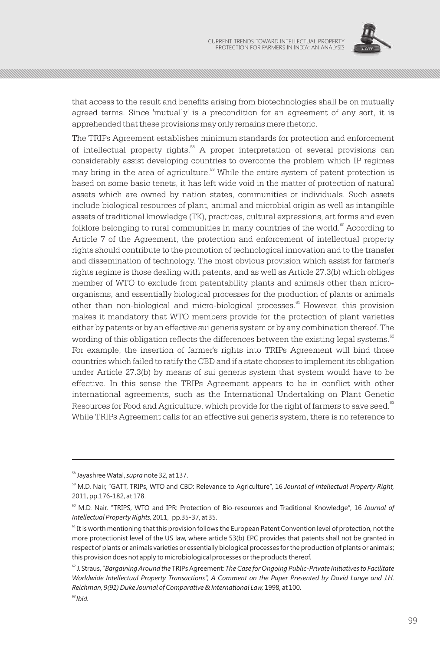

that access to the result and benefits arising from biotechnologies shall be on mutually agreed terms. Since 'mutually' is a precondition for an agreement of any sort, it is apprehended that these provisions may only remains mere rhetoric.

The TRIPs Agreement establishes minimum standards for protection and enforcement of intellectual property rights.  $\mathbb{S}^8$  A proper interpretation of several provisions can considerably assist developing countries to overcome the problem which IP regimes may bring in the area of agriculture.<sup>59</sup> While the entire system of patent protection is based on some basic tenets, it has left wide void in the matter of protection of natural assets which are owned by nation states, communities or individuals. Such assets include biological resources of plant, animal and microbial origin as well as intangible assets of traditional knowledge (TK), practices, cultural expressions, art forms and even folklore belonging to rural communities in many countries of the world. $\degree$  According to Article 7 of the Agreement, the protection and enforcement of intellectual property rights should contribute to the promotion of technological innovation and to the transfer and dissemination of technology. The most obvious provision which assist for farmer's rights regime is those dealing with patents, and as well as Article 27.3(b) which obliges member of WTO to exclude from patentability plants and animals other than microorganisms, and essentially biological processes for the production of plants or animals other than non-biological and micro-biological processes.<sup>61</sup> However, this provision makes it mandatory that WTO members provide for the protection of plant varieties either by patents or by an effective sui generis system or by any combination thereof. The wording of this obligation reflects the differences between the existing legal systems. $\frac{62}{5}$ For example, the insertion of farmer's rights into TRIPs Agreement will bind those countries which failed to ratify the CBD and if a state chooses to implement its obligation under Article 27.3(b) by means of sui generis system that system would have to be effective. In this sense the TRIPs Agreement appears to be in conflict with other international agreements, such as the International Undertaking on Plant Genetic Resources for Food and Agriculture, which provide for the right of farmers to save seed.<sup>63</sup> While TRIPs Agreement calls for an effective sui generis system, there is no reference to

<sup>58</sup> Jayashree Watal, *supra* note 32, at 137.

<sup>&</sup>lt;sup>59</sup> M.D. Nair, "GATT, TRIPs, WTO and CBD: Relevance to Agriculture", 16 *Journal of Intellectual Property Right*, 2011, pp.176-182, at 178.

<sup>60</sup> M.D. Nair, "TRIPS, WTO and IPR: Protection of Bio-resources and Traditional Knowledge", 16 *Journal of Intellectual Property Rights,* 2011, pp.35-37, at 35.

 $61$  It is worth mentioning that this provision follows the European Patent Convention level of protection, not the more protectionist level of the US law, where article 53(b) EPC provides that patents shall not be granted in respect of plants or animals varieties or essentially biological processes for the production of plants or animals; this provision does not apply to microbiological processes or the products thereof.

<sup>62</sup> J. Straus, "*Bargaining Around the* TRIPs Agreement*: The Case for Ongoing Public-Private Initiatives to Facilitate Worldwide Intellectual Property Transactions", A Comment on the Paper Presented by David Lange and J.H. Reichman, 9(91) Duke Journal of Comparative & International Law,* 1998, at 100.

*<sup>63</sup>Ibid.*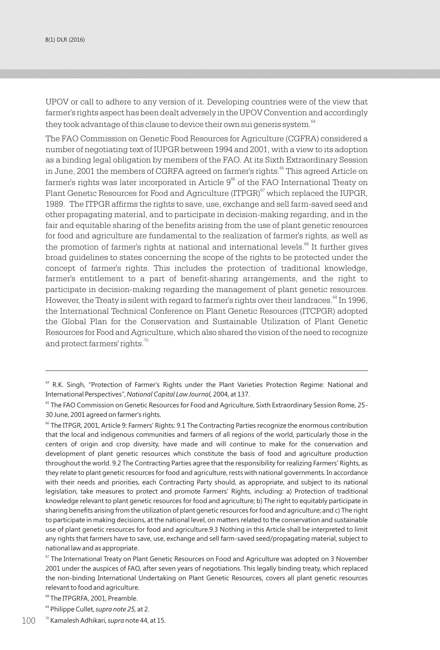UPOV or call to adhere to any version of it. Developing countries were of the view that farmer's rights aspect has been dealt adversely in the UPOV Convention and accordingly they took advantage of this clause to device their own sui generis system.<sup>64</sup>

The FAO Commission on Genetic Food Resources for Agriculture (CGFRA) considered a number of negotiating text of IUPGR between 1994 and 2001, with a view to its adoption as a binding legal obligation by members of the FAO. At its Sixth Extraordinary Session in June, 2001 the members of CGRFA agreed on farmer's rights.<sup>66</sup> This agreed Article on farmer's rights was later incorporated in Article  $9^{66}$  of the FAO International Treaty on Plant Genetic Resources for Food and Agriculture (ITPGR) $\degree$  which replaced the IUPGR, 1989. The ITPGR affirms the rights to save, use, exchange and sell farm-saved seed and other propagating material, and to participate in decision-making regarding, and in the fair and equitable sharing of the benefits arising from the use of plant genetic resources for food and agriculture are fundamental to the realization of farmer's rights, as well as the promotion of farmer's rights at national and international levels. $^{68}$  It further gives broad guidelines to states concerning the scope of the rights to be protected under the concept of farmer's rights. This includes the protection of traditional knowledge, farmer's entitlement to a part of benefit-sharing arrangements, and the right to participate in decision-making regarding the management of plant genetic resources. However, the Treaty is silent with regard to farmer's rights over their landraces.<sup>69</sup> In 1996, the International Technical Conference on Plant Genetic Resources (ITCPGR) adopted the Global Plan for the Conservation and Sustainable Utilization of Plant Genetic Resources for Food and Agriculture, which also shared the vision of the need to recognize and protect farmers' rights.<sup>70</sup>

<sup>&</sup>lt;sup>64</sup> R.K. Singh, "Protection of Farmer's Rights under the Plant Varieties Protection Regime: National and International Perspectives", *National Capital Law Journal,* 2004, at 137.

<sup>&</sup>lt;sup>65</sup> The FAO Commission on Genetic Resources for Food and Agriculture, Sixth Extraordinary Session Rome, 25-30 June, 2001 agreed on farmer's rights.

<sup>&</sup>lt;sup>66</sup> The ITPGR, 2001, Article 9: Farmers' Rights: 9.1 The Contracting Parties recognize the enormous contribution that the local and indigenous communities and farmers of all regions of the world, particularly those in the centers of origin and crop diversity, have made and will continue to make for the conservation and development of plant genetic resources which constitute the basis of food and agriculture production throughout the world. 9.2 The Contracting Parties agree that the responsibility for realizing Farmers' Rights, as they relate to plant genetic resources for food and agriculture, rests with national governments. In accordance with their needs and priorities, each Contracting Party should, as appropriate, and subject to its national legislation, take measures to protect and promote Farmers' Rights, including: a) Protection of traditional knowledge relevant to plant genetic resources for food and agriculture; b) The right to equitably participate in sharing benefits arising from the utilization of plant genetic resources for food and agriculture; and c) The right to participate in making decisions, at the national level, on matters related to the conservation and sustainable use of plant genetic resources for food and agriculture.9.3 Nothing in this Article shall be interpreted to limit any rights that farmers have to save, use, exchange and sell farm-saved seed/propagating material, subject to national law and as appropriate.

 $67$  The International Treaty on Plant Genetic Resources on Food and Agriculture was adopted on 3 November 2001 under the auspices of FAO, after seven years of negotiations. This legally binding treaty, which replaced the non-binding International Undertaking on Plant Genetic Resources, covers all plant genetic resources relevant to food and agriculture.

<sup>&</sup>lt;sup>68</sup> The ITPGRFA, 2001, Preamble.

<sup>69</sup> Philippe Cullet, *supra note 25,* at 2.

 $100^{-10}$  Kamalesh Adhikari, *supra* note 44, at 15.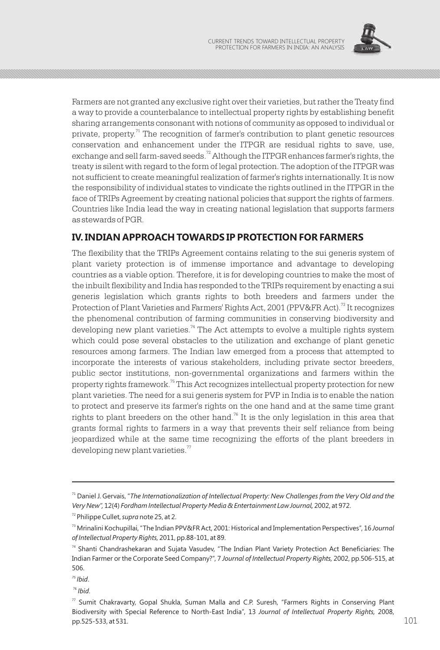

Farmers are not granted any exclusive right over their varieties, but rather the Treaty find a way to provide a counterbalance to intellectual property rights by establishing benefit sharing arrangements consonant with notions of community as opposed to individual or private, property.<sup> $71$ </sup> The recognition of farmer's contribution to plant genetic resources conservation and enhancement under the ITPGR are residual rights to save, use, exchange and sell farm-saved seeds. $^{72}$  Although the ITPGR enhances farmer's rights, the treaty is silent with regard to the form of legal protection. The adoption of the ITPGR was not sufficient to create meaningful realization of farmer's rights internationally. It is now the responsibility of individual states to vindicate the rights outlined in the ITPGR in the face of TRIPs Agreement by creating national policies that support the rights of farmers. Countries like India lead the way in creating national legislation that supports farmers as stewards of PGR.

## **IV. INDIAN APPROACH TOWARDS IP PROTECTION FOR FARMERS**

The flexibility that the TRIPs Agreement contains relating to the sui generis system of plant variety protection is of immense importance and advantage to developing countries as a viable option. Therefore, it is for developing countries to make the most of the inbuilt flexibility and India has responded to the TRIPs requirement by enacting a sui generis legislation which grants rights to both breeders and farmers under the Protection of Plant Varieties and Farmers' Rights Act, 2001 (PPV&FR Act).<sup>73</sup> It recognizes the phenomenal contribution of farming communities in conserving biodiversity and developing new plant varieties.<sup>74</sup> The Act attempts to evolve a multiple rights system which could pose several obstacles to the utilization and exchange of plant genetic resources among farmers. The Indian law emerged from a process that attempted to incorporate the interests of various stakeholders, including private sector breeders, public sector institutions, non-governmental organizations and farmers within the property rights framework.<sup>75</sup> This Act recognizes intellectual property protection for new plant varieties. The need for a sui generis system for PVP in India is to enable the nation to protect and preserve its farmer's rights on the one hand and at the same time grant rights to plant breeders on the other hand.<sup>76</sup> It is the only legislation in this area that grants formal rights to farmers in a way that prevents their self reliance from being jeopardized while at the same time recognizing the efforts of the plant breeders in developing new plant varieties. $77$ 

<sup>71</sup> Daniel J. Gervais, "*The Internationalization of Intellectual Property: New Challenges from the Very Old and the Very New",* 12(4) *Fordham Intellectual Property Media & Entertainment Law Journal,* 2002, at 972.

<sup>72</sup> Philippe Cullet, *supra* note 25, at 2.

<sup>73</sup> Mrinalini Kochupillai, "The Indian PPV&FR Act, 2001: Historical and Implementation Perspectives", 16 *Journal of Intellectual Property Rights,* 2011, pp.88-101, at 89.

<sup>74</sup> Shanti Chandrashekaran and Sujata Vasudev, "The Indian Plant Variety Protection Act Beneficiaries: The Indian Farmer or the Corporate Seed Company?", 7 *Journal of Intellectual Property Rights,* 2002, pp.506-515, at 506.

*<sup>75</sup> Ibid*.

<sup>76</sup> *Ibid*.

 $77$  Sumit Chakravarty, Gopal Shukla, Suman Malla and C.P. Suresh, "Farmers Rights in Conserving Plant Biodiversity with Special Reference to North-East India", 13 *Journal of Intellectual Property Rights,* 2008,  $p_{\rm D}$ .525-533, at 531. 101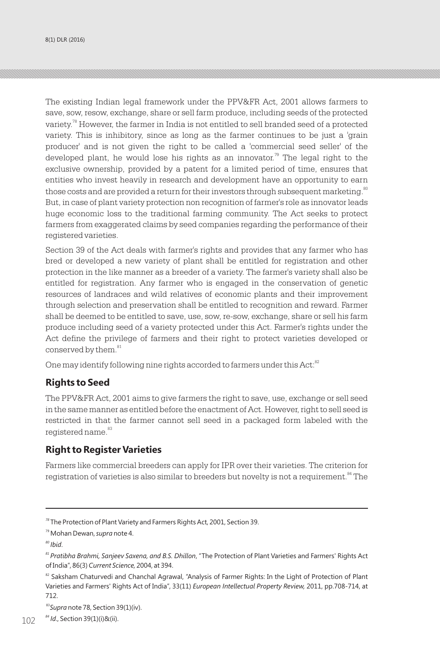$8(1)$  DLR (2016) CURRENT TRENDS TOWARD INTELLECTUAL PROPERTY  $C$ 

The existing Indian legal framework under the PPV&FR Act, 2001 allows farmers to save, sow, resow, exchange, share or sell farm produce, including seeds of the protected variety.<sup>78</sup> However, the farmer in India is not entitled to sell branded seed of a protected variety. This is inhibitory, since as long as the farmer continues to be just a 'grain producer' and is not given the right to be called a 'commercial seed seller' of the developed plant, he would lose his rights as an innovator.<sup>79</sup> The legal right to the exclusive ownership, provided by a patent for a limited period of time, ensures that entities who invest heavily in research and development have an opportunity to earn those costs and are provided a return for their investors through subsequent marketing.<sup>80</sup> But, in case of plant variety protection non recognition of farmer's role as innovator leads huge economic loss to the traditional farming community. The Act seeks to protect farmers from exaggerated claims by seed companies regarding the performance of their registered varieties.

Section 39 of the Act deals with farmer's rights and provides that any farmer who has bred or developed a new variety of plant shall be entitled for registration and other protection in the like manner as a breeder of a variety. The farmer's variety shall also be entitled for registration. Any farmer who is engaged in the conservation of genetic resources of landraces and wild relatives of economic plants and their improvement through selection and preservation shall be entitled to recognition and reward. Farmer shall be deemed to be entitled to save, use, sow, re-sow, exchange, share or sell his farm produce including seed of a variety protected under this Act. Farmer's rights under the Act define the privilege of farmers and their right to protect varieties developed or conserved by them.<sup>81</sup>

One may identify following nine rights accorded to farmers under this Act:<sup>82</sup>

## **Rights to Seed**

The PPV&FR Act, 2001 aims to give farmers the right to save, use, exchange or sell seed in the same manner as entitled before the enactment of Act. However, right to sell seed is restricted in that the farmer cannot sell seed in a packaged form labeled with the registered name.<sup>83</sup>

### **Right to Register Varieties**

Farmers like commercial breeders can apply for IPR over their varieties. The criterion for registration of varieties is also similar to breeders but novelty is not a requirement.<sup>84</sup> The

<sup>83</sup>Supra note 78, Section 39(1)(iv).

*<sup>78</sup>* The Protection of Plant Variety and Farmers Rights Act, 2001, Section 39.

<sup>79</sup> Mohan Dewan, *supra* note 4.

*<sup>80</sup> Ibid*.

*<sup>81</sup>Pratibha Brahmi, Sanjeev Saxena, and B.S. Dhillon*, "The Protection of Plant Varieties and Farmers' Rights Act of India", 86(3) *Current Science,* 2004, at 394.

<sup>&</sup>lt;sup>82</sup> Saksham Chaturvedi and Chanchal Agrawal, "Analysis of Farmer Rights: In the Light of Protection of Plant Varieties and Farmers' Rights Act of India", 33(11) *European Intellectual Property Review,* 2011, pp.708-714, at 712.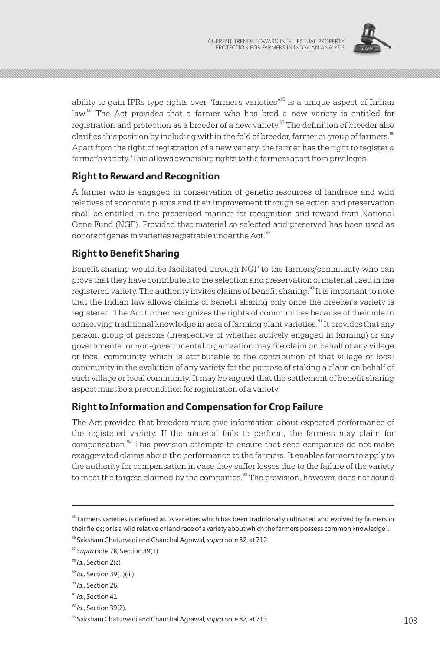

ability to gain IPRs type rights over "farmer's varieties"<sup>85</sup> is a unique aspect of Indian  $\alpha$ <sup>86</sup> The Act provides that a farmer who has bred a new variety is entitled for registration and protection as a breeder of a new variety.<sup> $37$ </sup> The definition of breeder also clarifies this position by including within the fold of breeder, farmer or group of farmers.<sup>88</sup> Apart from the right of registration of a new variety, the farmer has the right to register a farmer's variety. This allows ownership rights to the farmers apart from privileges.

### **Right to Reward and Recognition**

A farmer who is engaged in conservation of genetic resources of landrace and wild relatives of economic plants and their improvement through selection and preservation shall be entitled in the prescribed manner for recognition and reward from National Gene Fund (NGF). Provided that material so selected and preserved has been used as donors of genes in varieties registrable under the Act.<sup>89</sup>

### **Right to Benefit Sharing**

Benefit sharing would be facilitated through NGF to the farmers/community who can prove that they have contributed to the selection and preservation of material used in the registered variety. The authority invites claims of benefit sharing.<sup>90</sup> It is important to note that the Indian law allows claims of benefit sharing only once the breeder's variety is registered. The Act further recognizes the rights of communities because of their role in conserving traditional knowledge in area of farming plant varieties.<sup>91</sup> It provides that any person, group of persons (irrespective of whether actively engaged in farming) or any governmental or non-governmental organization may file claim on behalf of any village or local community which is attributable to the contribution of that village or local community in the evolution of any variety for the purpose of staking a claim on behalf of such village or local community. It may be argued that the settlement of benefit sharing aspect must be a precondition for registration of a variety.

### **Right to Information and Compensation for Crop Failure**

The Act provides that breeders must give information about expected performance of the registered variety. If the material fails to perform, the farmers may claim for compensation. $\mathbb{R}^2$  This provision attempts to ensure that seed companies do not make exaggerated claims about the performance to the farmers. It enables farmers to apply to the authority for compensation in case they suffer losses due to the failure of the variety to meet the targets claimed by the companies.<sup>33</sup> The provision, however, does not sound

<sup>&</sup>lt;sup>85</sup> Farmers varieties is defined as "A varieties which has been traditionally cultivated and evolved by farmers in their fields; or is a wild relative or land race of a variety about which the farmers possess common knowledge".

<sup>86</sup> Saksham Chaturvedi and Chanchal Agrawal*, supra* note 82, at 712.

<sup>87</sup> *Supra* note 78, Section 39(1).

*<sup>88</sup> Id*., Section 2(c).

<sup>89</sup> *Id.,* Section 39(1)(iii).

*<sup>90</sup> Id*., Section 26.

*<sup>91</sup> Id*., Section 41.

*<sup>92</sup> Id.*, Section 39(2).

<sup>&</sup>lt;sup>93</sup> Saksham Chaturvedi and Chanchal Agrawal, *supra* note 82, at 713. 103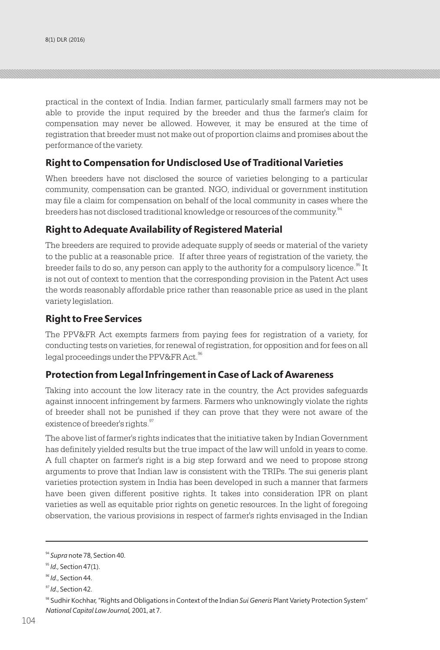practical in the context of India. Indian farmer, particularly small farmers may not be able to provide the input required by the breeder and thus the farmer's claim for compensation may never be allowed. However, it may be ensured at the time of registration that breeder must not make out of proportion claims and promises about the performance of the variety.

### **Right to Compensation for Undisclosed Use of Traditional Varieties**

When breeders have not disclosed the source of varieties belonging to a particular community, compensation can be granted. NGO, individual or government institution may file a claim for compensation on behalf of the local community in cases where the breeders has not disclosed traditional knowledge or resources of the community.<sup>94</sup>

### **Right to Adequate Availability of Registered Material**

The breeders are required to provide adequate supply of seeds or material of the variety to the public at a reasonable price. If after three years of registration of the variety, the breeder fails to do so, any person can apply to the authority for a compulsory licence.<sup>95</sup> It is not out of context to mention that the corresponding provision in the Patent Act uses the words reasonably affordable price rather than reasonable price as used in the plant variety legislation.

### **Right to Free Services**

The PPV&FR Act exempts farmers from paying fees for registration of a variety, for conducting tests on varieties, for renewal of registration, for opposition and for fees on all legal proceedings under the PPV&FR Act.<sup>96</sup>

### **Protection from Legal Infringement in Case of Lack of Awareness**

Taking into account the low literacy rate in the country, the Act provides safeguards against innocent infringement by farmers. Farmers who unknowingly violate the rights of breeder shall not be punished if they can prove that they were not aware of the existence of breeder's rights.<sup>97</sup>

The above list of farmer's rights indicates that the initiative taken by Indian Government has definitely yielded results but the true impact of the law will unfold in years to come. A full chapter on farmer's right is a big step forward and we need to propose strong arguments to prove that Indian law is consistent with the TRIPs. The sui generis plant varieties protection system in India has been developed in such a manner that farmers have been given different positive rights. It takes into consideration IPR on plant varieties as well as equitable prior rights on genetic resources. In the light of foregoing observation, the various provisions in respect of farmer's rights envisaged in the Indian

<sup>94</sup> *Supra* note 78, Section 40.

<sup>&</sup>lt;sup>95</sup> *Id.*, Section 47(1).

*<sup>96</sup> Id*., Section 44.

*<sup>97</sup> Id*., Section 42.

<sup>98</sup> Sudhir Kochhar, "Rights and Obligations in Context of the Indian *Sui Generis* Plant Variety Protection System" *National Capital Law Journal,* 2001, at 7.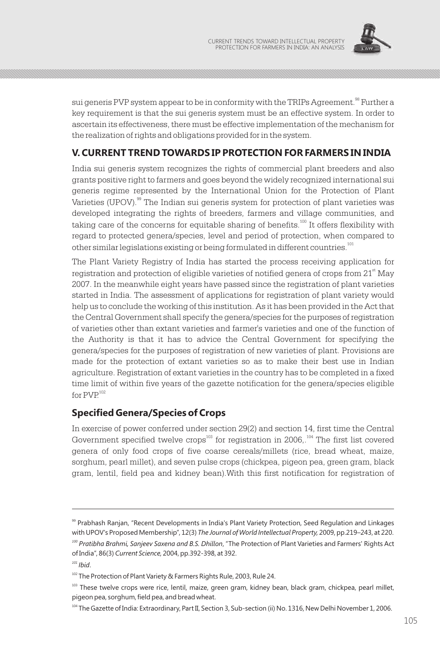

sui generis PVP system appear to be in conformity with the TRIPs Agreement.<sup>98</sup> Further a key requirement is that the sui generis system must be an effective system. In order to ascertain its effectiveness, there must be effective implementation of the mechanism for the realization of rights and obligations provided for in the system.

### **V. CURRENT TREND TOWARDS IP PROTECTION FOR FARMERS IN INDIA**

India sui generis system recognizes the rights of commercial plant breeders and also grants positive right to farmers and goes beyond the widely recognized international sui generis regime represented by the International Union for the Protection of Plant Varieties (UPOV).<sup>99</sup> The Indian sui generis system for protection of plant varieties was developed integrating the rights of breeders, farmers and village communities, and taking care of the concerns for equitable sharing of benefits.<sup>100</sup> It offers flexibility with regard to protected genera/species, level and period of protection, when compared to other similar legislations existing or being formulated in different countries.<sup>101</sup>

The Plant Variety Registry of India has started the process receiving application for registration and protection of eligible varieties of notified genera of crops from 21<sup><sup>st</sup> May</sup> 2007. In the meanwhile eight years have passed since the registration of plant varieties started in India. The assessment of applications for registration of plant variety would help us to conclude the working of this institution. As it has been provided in the Act that the Central Government shall specify the genera/species for the purposes of registration of varieties other than extant varieties and farmer's varieties and one of the function of the Authority is that it has to advice the Central Government for specifying the genera/species for the purposes of registration of new varieties of plant. Provisions are made for the protection of extant varieties so as to make their best use in Indian agriculture. Registration of extant varieties in the country has to be completed in a fixed time limit of within five years of the gazette notification for the genera/species eligible for  $PVP^{102}$ 

### **Specified Genera/Species of Crops**

In exercise of power conferred under section 29(2) and section 14, first time the Central Government specified twelve crops<sup>103</sup> for registration in 2006,.<sup>104</sup> The first list covered genera of only food crops of five coarse cereals/millets (rice, bread wheat, maize, sorghum, pearl millet), and seven pulse crops (chickpea, pigeon pea, green gram, black gram, lentil, field pea and kidney bean).With this first notification for registration of

<sup>99</sup> Prabhash Ranjan, "Recent Developments in India's Plant Variety Protection, Seed Regulation and Linkages with UPOV's Proposed Membership", 12(3) *The Journal of World Intellectual Property,* 2009, pp.219–243, at 220. *<sup>100</sup> Pratibha Brahmi, Sanjeev Saxena and B.S. Dhillon*, "The Protection of Plant Varieties and Farmers' Rights Act

of India", 86(3) *Current Science,* 2004, pp.392-398, at 392.

*<sup>101</sup> Ibid*.

<sup>&</sup>lt;sup>102</sup> The Protection of Plant Variety & Farmers Rights Rule, 2003, Rule 24.

<sup>&</sup>lt;sup>103</sup> These twelve crops were rice, lentil, maize, green gram, kidney bean, black gram, chickpea, pearl millet, pigeon pea, sorghum, field pea, and bread wheat.

<sup>104</sup> The Gazette of India: Extraordinary, Part II, Section 3, Sub-section (ii) No. 1316, New Delhi November 1, 2006.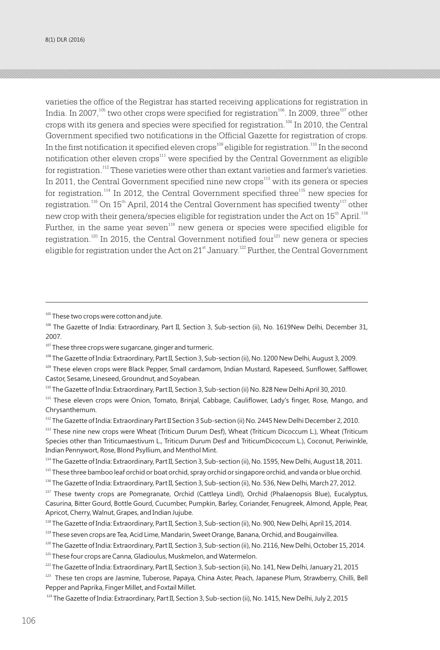varieties the office of the Registrar has started receiving applications for registration in India. In 2007,<sup>105</sup> two other crops were specified for registration<sup>106</sup>. In 2009, three<sup>107</sup> other crops with its genera and species were specified for registration.<sup>108</sup> In 2010, the Central Government specified two notifications in the Official Gazette for registration of crops. In the first notification it specified eleven crops<sup>109</sup> eligible for registration.<sup>110</sup> In the second notification other eleven crops<sup>111</sup> were specified by the Central Government as eligible for registration.<sup>112</sup> These varieties were other than extant varieties and farmer's varieties. In 2011, the Central Government specified nine new crops $^{113}$  with its genera or species for registration.<sup>114</sup> In 2012, the Central Government specified three<sup>115</sup> new species for registration.<sup>116</sup> On  $15^{\text{th}}$  April, 2014 the Central Government has specified twenty<sup>117</sup> other new crop with their genera/species eligible for registration under the Act on 15 $^{\rm th}$  April. $^{^{118}}$ Further, in the same year seven<sup>119</sup> new genera or species were specified eligible for registration.<sup>120</sup> In 2015, the Central Government notified four<sup>121</sup> new genera or species eligible for registration under the Act on  $21<sup>st</sup>$  January.<sup>122</sup> Further, the Central Government

- 107 These three crops were sugarcane, ginger and turmeric.
- <sup>108</sup> The Gazette of India: Extraordinary, Part II, Section 3, Sub-section (ii), No. 1200 New Delhi, August 3, 2009.
- 109 These eleven crops were Black Pepper, Small cardamom, Indian Mustard, Rapeseed, Sunflower, Safflower, Castor, Sesame, Lineseed, Groundnut, and Soyabean.
- <sup>110</sup> The Gazette of India: Extraordinary, Part II, Section 3, Sub-section (ii) No. 828 New Delhi April 30, 2010.
- <sup>111</sup> These eleven crops were Onion, Tomato, Brinjal, Cabbage, Cauliflower, Lady's finger, Rose, Mango, and Chrysanthemum.
- 112 The Gazette of India: Extraordinary Part II Section 3 Sub-section (ii) No. 2445 New Delhi December 2, 2010.
- <sup>113</sup> These nine new crops were Wheat (Triticum Durum Desf), Wheat (Triticum Dicoccum L.), Wheat (Triticum Species other than Triticumaestivum L., Triticum Durum Desf and TriticumDicoccum L.), Coconut, Periwinkle, Indian Pennywort, Rose, Blond Psyllium, and Menthol Mint.
- 114 The Gazette of India: Extraordinary, Part II, Section 3, Sub-section (ii), No. 1595, New Delhi, August 18, 2011.
- <sup>115</sup> These three bamboo leaf orchid or boat orchid, spray orchid or singapore orchid, and vanda or blue orchid.

- <sup>117</sup> These twenty crops are Pomegranate, Orchid (Cattleya Lindl), Orchid (Phalaenopsis Blue), Eucalyptus, Casurina, Bitter Gourd, Bottle Gourd, Cucumber, Pumpkin, Barley, Coriander, Fenugreek, Almond, Apple, Pear, Apricot, Cherry, Walnut, Grapes, and Indian Jujube.
- 118 The Gazette of India: Extraordinary, Part II, Section 3, Sub-section (ii), No. 900, New Delhi, April 15, 2014.
- 119 These seven crops are Tea, Acid Lime, Mandarin, Sweet Orange, Banana, Orchid, and Bougainvillea.
- <sup>120</sup> The Gazette of India: Extraordinary, Part II, Section 3, Sub-section (ii), No. 2116, New Delhi, October 15, 2014.
- <sup>121</sup> These four crops are Canna, Gladioulus, Muskmelon, and Watermelon.

<sup>123</sup> These ten crops are Jasmine, Tuberose, Papaya, China Aster, Peach, Japanese Plum, Strawberry, Chilli, Bell Pepper and Paprika, Finger Millet, and Foxtail Millet.

<sup>&</sup>lt;sup>105</sup> These two crops were cotton and jute.

<sup>106</sup> The Gazette of India: Extraordinary, Part II, Section 3, Sub-section (ii), No. 1619New Delhi, December 31, 2007.

<sup>116</sup> The Gazette of India: Extraordinary, Part II, Section 3, Sub-section (ii), No. 536, New Delhi, March 27, 2012.

<sup>&</sup>lt;sup>122</sup> The Gazette of India: Extraordinary, Part II, Section 3, Sub-section (ii), No. 141, New Delhi, January 21, 2015

<sup>&</sup>lt;sup>124</sup> The Gazette of India: Extraordinary, Part II, Section 3, Sub-section (ii), No. 1415, New Delhi, July 2, 2015